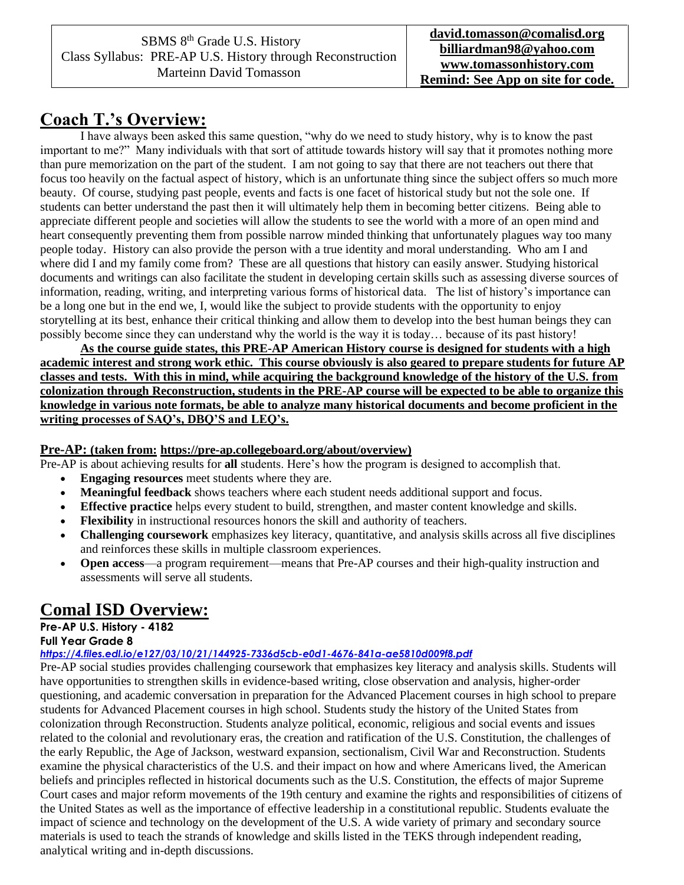## **Coach T.'s Overview:**

I have always been asked this same question, "why do we need to study history, why is to know the past important to me?" Many individuals with that sort of attitude towards history will say that it promotes nothing more than pure memorization on the part of the student. I am not going to say that there are not teachers out there that focus too heavily on the factual aspect of history, which is an unfortunate thing since the subject offers so much more beauty. Of course, studying past people, events and facts is one facet of historical study but not the sole one. If students can better understand the past then it will ultimately help them in becoming better citizens. Being able to appreciate different people and societies will allow the students to see the world with a more of an open mind and heart consequently preventing them from possible narrow minded thinking that unfortunately plagues way too many people today. History can also provide the person with a true identity and moral understanding. Who am I and where did I and my family come from? These are all questions that history can easily answer. Studying historical documents and writings can also facilitate the student in developing certain skills such as assessing diverse sources of information, reading, writing, and interpreting various forms of historical data. The list of history's importance can be a long one but in the end we, I, would like the subject to provide students with the opportunity to enjoy storytelling at its best, enhance their critical thinking and allow them to develop into the best human beings they can possibly become since they can understand why the world is the way it is today… because of its past history!

**As the course guide states, this PRE-AP American History course is designed for students with a high academic interest and strong work ethic. This course obviously is also geared to prepare students for future AP classes and tests. With this in mind, while acquiring the background knowledge of the history of the U.S. from colonization through Reconstruction, students in the PRE-AP course will be expected to be able to organize this knowledge in various note formats, be able to analyze many historical documents and become proficient in the writing processes of SAQ's, DBQ'S and LEQ's.** 

#### **Pre-AP: (taken from: https://pre-ap.collegeboard.org/about/overview)**

Pre-AP is about achieving results for **all** students. Here's how the program is designed to accomplish that.

- **Engaging resources** meet students where they are.
- **Meaningful feedback** shows teachers where each student needs additional support and focus.
- **Effective practice** helps every student to build, strengthen, and master content knowledge and skills.
- **Flexibility** in instructional resources honors the skill and authority of teachers.
- **Challenging coursework** emphasizes key literacy, quantitative, and analysis skills across all five disciplines and reinforces these skills in multiple classroom experiences.
- **Open access**—a program requirement—means that Pre-AP courses and their high-quality instruction and assessments will serve all students.

## **Comal ISD Overview:**

### **Pre-AP U.S. History - 4182**

#### **Full Year Grade 8**

*<https://4.files.edl.io/e127/03/10/21/144925-7336d5cb-e0d1-4676-841a-ae5810d009f8.pdf>*

Pre-AP social studies provides challenging coursework that emphasizes key literacy and analysis skills. Students will have opportunities to strengthen skills in evidence-based writing, close observation and analysis, higher-order questioning, and academic conversation in preparation for the Advanced Placement courses in high school to prepare students for Advanced Placement courses in high school. Students study the history of the United States from colonization through Reconstruction. Students analyze political, economic, religious and social events and issues related to the colonial and revolutionary eras, the creation and ratification of the U.S. Constitution, the challenges of the early Republic, the Age of Jackson, westward expansion, sectionalism, Civil War and Reconstruction. Students examine the physical characteristics of the U.S. and their impact on how and where Americans lived, the American beliefs and principles reflected in historical documents such as the U.S. Constitution, the effects of major Supreme Court cases and major reform movements of the 19th century and examine the rights and responsibilities of citizens of the United States as well as the importance of effective leadership in a constitutional republic. Students evaluate the impact of science and technology on the development of the U.S. A wide variety of primary and secondary source materials is used to teach the strands of knowledge and skills listed in the TEKS through independent reading, analytical writing and in-depth discussions.